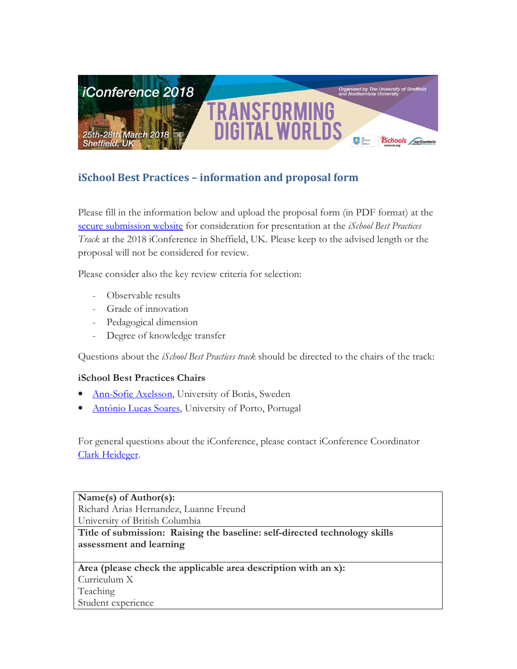

# iSchool Best Practices – information and proposal form

Please fill in the information below and upload the proposal form (in PDF format) at the secure submission website for consideration for presentation at the *iSchool Best Practices* Track at the 2018 iConference in Sheffield, UK. Please keep to the advised length or the proposal will not be considered for review.

Please consider also the key review criteria for selection:

- Observable results
- Grade of innovation
- Pedagogical dimension
- Degree of knowledge transfer

Questions about the *iSchool Best Practices track* should be directed to the chairs of the track:

# iSchool Best Practices Chairs

- Ann-Sofie Axelsson, University of Borås, Sweden
- António Lucas Soares, University of Porto, Portugal

For general questions about the iConference, please contact iConference Coordinator Clark Heideger.

Name(s) of Author(s): Richard Arias Hernandez, Luanne Freund University of British Columbia

Title of submission: Raising the baseline: self-directed technology skills assessment and learning

Area (please check the applicable area description with an x): Curriculum X Teaching Student experience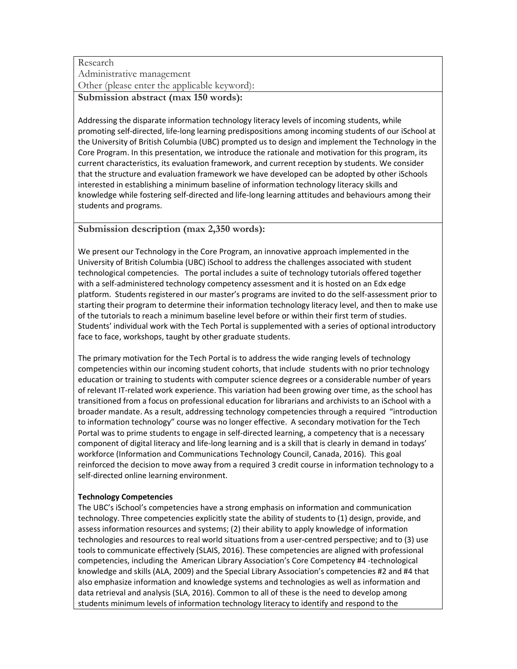# Research Administrative management Other (please enter the applicable keyword): Submission abstract (max 150 words):

Addressing the disparate information technology literacy levels of incoming students, while promoting self-directed, life-long learning predispositions among incoming students of our iSchool at the University of British Columbia (UBC) prompted us to design and implement the Technology in the Core Program. In this presentation, we introduce the rationale and motivation for this program, its current characteristics, its evaluation framework, and current reception by students. We consider that the structure and evaluation framework we have developed can be adopted by other iSchools interested in establishing a minimum baseline of information technology literacy skills and knowledge while fostering self-directed and life-long learning attitudes and behaviours among their students and programs.

## Submission description (max 2,350 words):

We present our Technology in the Core Program, an innovative approach implemented in the University of British Columbia (UBC) iSchool to address the challenges associated with student technological competencies. The portal includes a suite of technology tutorials offered together with a self-administered technology competency assessment and it is hosted on an Edx edge platform. Students registered in our master's programs are invited to do the self-assessment prior to starting their program to determine their information technology literacy level, and then to make use of the tutorials to reach a minimum baseline level before or within their first term of studies. Students' individual work with the Tech Portal is supplemented with a series of optional introductory face to face, workshops, taught by other graduate students.

The primary motivation for the Tech Portal is to address the wide ranging levels of technology competencies within our incoming student cohorts, that include students with no prior technology education or training to students with computer science degrees or a considerable number of years of relevant IT-related work experience. This variation had been growing over time, as the school has transitioned from a focus on professional education for librarians and archivists to an iSchool with a broader mandate. As a result, addressing technology competencies through a required "introduction to information technology" course was no longer effective. A secondary motivation for the Tech Portal was to prime students to engage in self-directed learning, a competency that is a necessary component of digital literacy and life-long learning and is a skill that is clearly in demand in todays' workforce (Information and Communications Technology Council, Canada, 2016). This goal reinforced the decision to move away from a required 3 credit course in information technology to a self-directed online learning environment.

## Technology Competencies

The UBC's iSchool's competencies have a strong emphasis on information and communication technology. Three competencies explicitly state the ability of students to (1) design, provide, and assess information resources and systems; (2) their ability to apply knowledge of information technologies and resources to real world situations from a user-centred perspective; and to (3) use tools to communicate effectively (SLAIS, 2016). These competencies are aligned with professional competencies, including the American Library Association's Core Competency #4 -technological knowledge and skills (ALA, 2009) and the Special Library Association's competencies #2 and #4 that also emphasize information and knowledge systems and technologies as well as information and data retrieval and analysis (SLA, 2016). Common to all of these is the need to develop among students minimum levels of information technology literacy to identify and respond to the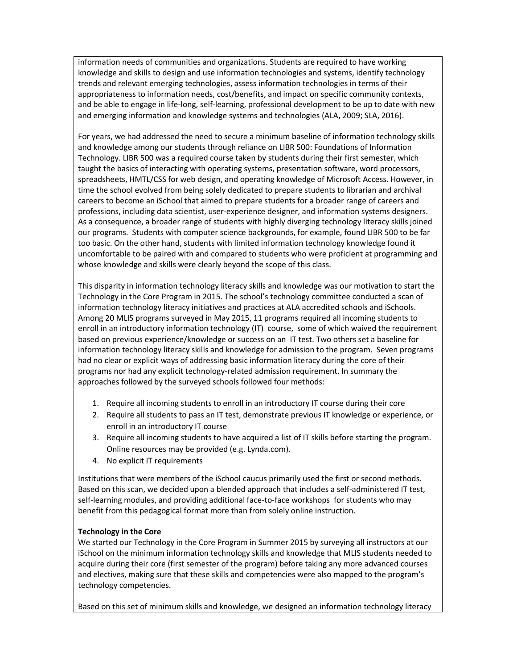information needs of communities and organizations. Students are required to have working knowledge and skills to design and use information technologies and systems, identify technology trends and relevant emerging technologies, assess information technologies in terms of their appropriateness to information needs, cost/benefits, and impact on specific community contexts, and be able to engage in life-long, self-learning, professional development to be up to date with new and emerging information and knowledge systems and technologies (ALA, 2009; SLA, 2016).

For years, we had addressed the need to secure a minimum baseline of information technology skills and knowledge among our students through reliance on LIBR 500: Foundations of Information Technology. LIBR 500 was a required course taken by students during their first semester, which taught the basics of interacting with operating systems, presentation software, word processors, spreadsheets, HMTL/CSS for web design, and operating knowledge of Microsoft Access. However, in time the school evolved from being solely dedicated to prepare students to librarian and archival careers to become an iSchool that aimed to prepare students for a broader range of careers and professions, including data scientist, user-experience designer, and information systems designers. As a consequence, a broader range of students with highly diverging technology literacy skills joined our programs. Students with computer science backgrounds, for example, found LIBR 500 to be far too basic. On the other hand, students with limited information technology knowledge found it uncomfortable to be paired with and compared to students who were proficient at programming and whose knowledge and skills were clearly beyond the scope of this class.

This disparity in information technology literacy skills and knowledge was our motivation to start the Technology in the Core Program in 2015. The school's technology committee conducted a scan of information technology literacy initiatives and practices at ALA accredited schools and iSchools. Among 20 MLIS programs surveyed in May 2015, 11 programs required all incoming students to enroll in an introductory information technology (IT) course, some of which waived the requirement based on previous experience/knowledge or success on an IT test. Two others set a baseline for information technology literacy skills and knowledge for admission to the program. Seven programs had no clear or explicit ways of addressing basic information literacy during the core of their programs nor had any explicit technology-related admission requirement. In summary the approaches followed by the surveyed schools followed four methods:

- 1. Require all incoming students to enroll in an introductory IT course during their core
- 2. Require all students to pass an IT test, demonstrate previous IT knowledge or experience, or enroll in an introductory IT course
- 3. Require all incoming students to have acquired a list of IT skills before starting the program. Online resources may be provided (e.g. Lynda.com).
- 4. No explicit IT requirements

Institutions that were members of the iSchool caucus primarily used the first or second methods. Based on this scan, we decided upon a blended approach that includes a self-administered IT test, self-learning modules, and providing additional face-to-face workshops for students who may benefit from this pedagogical format more than from solely online instruction.

### Technology in the Core

We started our Technology in the Core Program in Summer 2015 by surveying all instructors at our iSchool on the minimum information technology skills and knowledge that MLIS students needed to acquire during their core (first semester of the program) before taking any more advanced courses and electives, making sure that these skills and competencies were also mapped to the program's technology competencies.

Based on this set of minimum skills and knowledge, we designed an information technology literacy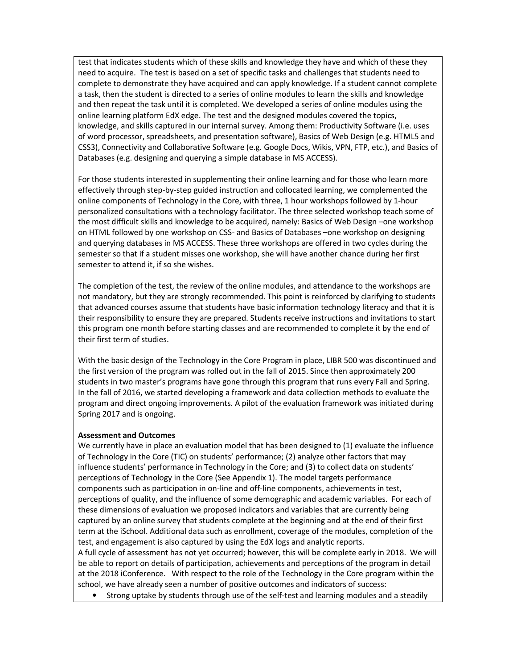test that indicates students which of these skills and knowledge they have and which of these they need to acquire. The test is based on a set of specific tasks and challenges that students need to complete to demonstrate they have acquired and can apply knowledge. If a student cannot complete a task, then the student is directed to a series of online modules to learn the skills and knowledge and then repeat the task until it is completed. We developed a series of online modules using the online learning platform EdX edge. The test and the designed modules covered the topics, knowledge, and skills captured in our internal survey. Among them: Productivity Software (i.e. uses of word processor, spreadsheets, and presentation software), Basics of Web Design (e.g. HTML5 and CSS3), Connectivity and Collaborative Software (e.g. Google Docs, Wikis, VPN, FTP, etc.), and Basics of Databases (e.g. designing and querying a simple database in MS ACCESS).

For those students interested in supplementing their online learning and for those who learn more effectively through step-by-step guided instruction and collocated learning, we complemented the online components of Technology in the Core, with three, 1 hour workshops followed by 1-hour personalized consultations with a technology facilitator. The three selected workshop teach some of the most difficult skills and knowledge to be acquired, namely: Basics of Web Design –one workshop on HTML followed by one workshop on CSS- and Basics of Databases –one workshop on designing and querying databases in MS ACCESS. These three workshops are offered in two cycles during the semester so that if a student misses one workshop, she will have another chance during her first semester to attend it, if so she wishes.

The completion of the test, the review of the online modules, and attendance to the workshops are not mandatory, but they are strongly recommended. This point is reinforced by clarifying to students that advanced courses assume that students have basic information technology literacy and that it is their responsibility to ensure they are prepared. Students receive instructions and invitations to start this program one month before starting classes and are recommended to complete it by the end of their first term of studies.

With the basic design of the Technology in the Core Program in place, LIBR 500 was discontinued and the first version of the program was rolled out in the fall of 2015. Since then approximately 200 students in two master's programs have gone through this program that runs every Fall and Spring. In the fall of 2016, we started developing a framework and data collection methods to evaluate the program and direct ongoing improvements. A pilot of the evaluation framework was initiated during Spring 2017 and is ongoing.

### Assessment and Outcomes

We currently have in place an evaluation model that has been designed to (1) evaluate the influence of Technology in the Core (TIC) on students' performance; (2) analyze other factors that may influence students' performance in Technology in the Core; and (3) to collect data on students' perceptions of Technology in the Core (See Appendix 1). The model targets performance components such as participation in on-line and off-line components, achievements in test, perceptions of quality, and the influence of some demographic and academic variables. For each of these dimensions of evaluation we proposed indicators and variables that are currently being captured by an online survey that students complete at the beginning and at the end of their first term at the iSchool. Additional data such as enrollment, coverage of the modules, completion of the test, and engagement is also captured by using the EdX logs and analytic reports. A full cycle of assessment has not yet occurred; however, this will be complete early in 2018. We will be able to report on details of participation, achievements and perceptions of the program in detail at the 2018 iConference. With respect to the role of the Technology in the Core program within the school, we have already seen a number of positive outcomes and indicators of success:

• Strong uptake by students through use of the self-test and learning modules and a steadily